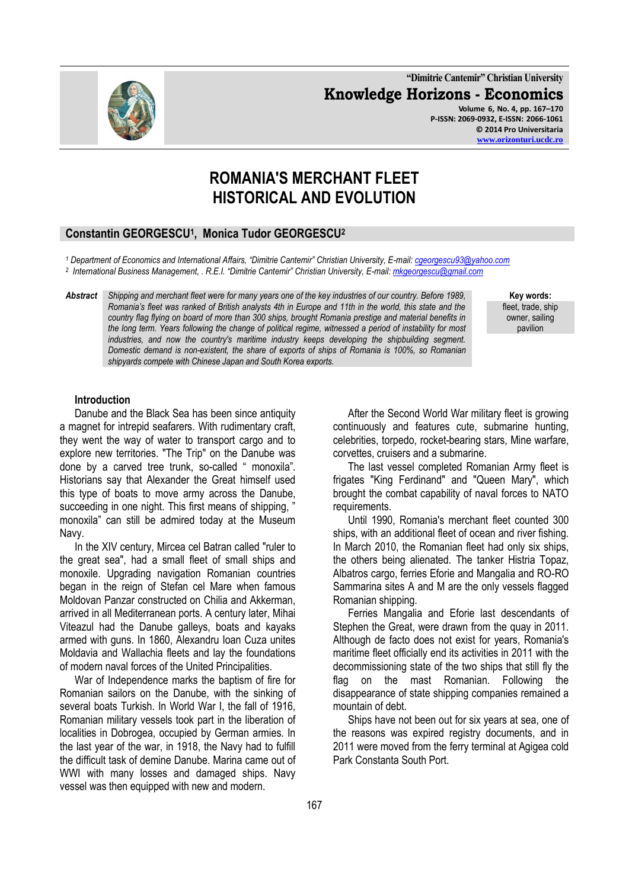**"Dimitrie Cantemir" Christian University Knowledge Horizons - Economics Volume 6, No. 4, pp. 167–170 P-ISSN: 2069-0932, E-ISSN: 2066-1061 © 2014 Pro Universitaria**

# **ROMANIA'S MERCHANT FLEET HISTORICAL AND EVOLUTION**

## **Constantin GEORGESCU<sup>1</sup> , Monica Tudor GEORGESCU<sup>2</sup>**

*<sup>1</sup> Department of Economics and International Affairs, "Dimitrie Cantemir" Christian University, E-mail[: cgeorgescu93@yahoo.com](mailto:cgeorgescu93@yahoo.com)  2 International Business Management, . R.E.I. "Dimitrie Cantemir" Christian University, E-mail: [mkgeorgescu@gmail.com](mailto:mkgeorgescu@gmail.com)*

*Abstract Shipping and merchant fleet were for many years one of the key industries of our country. Before 1989, Romania's fleet was ranked of British analysts 4th in Europe and 11th in the world, this state and the country flag flying on board of more than 300 ships, brought Romania prestige and material benefits in the long term. Years following the change of political regime, witnessed a period of instability for most industries, and now the country's maritime industry keeps developing the shipbuilding segment. Domestic demand is non-existent, the share of exports of ships of Romania is 100%, so Romanian shipyards compete with Chinese Japan and South Korea exports.* 

**Key words:** fleet, trade, ship owner, sailing pavilion

#### **Introduction**

Danube and the Black Sea has been since antiquity a magnet for intrepid seafarers. With rudimentary craft, they went the way of water to transport cargo and to explore new territories. "The Trip" on the Danube was done by a carved tree trunk, so-called " monoxila". Historians say that Alexander the Great himself used this type of boats to move army across the Danube, succeeding in one night. This first means of shipping, ' monoxila" can still be admired today at the Museum Navy.

In the XIV century, Mircea cel Batran called "ruler to the great sea", had a small fleet of small ships and monoxile. Upgrading navigation Romanian countries began in the reign of Stefan cel Mare when famous Moldovan Panzar constructed on Chilia and Akkerman, arrived in all Mediterranean ports. A century later, Mihai Viteazul had the Danube galleys, boats and kayaks armed with guns. In 1860, Alexandru Ioan Cuza unites Moldavia and Wallachia fleets and lay the foundations of modern naval forces of the United Principalities.

War of Independence marks the baptism of fire for Romanian sailors on the Danube, with the sinking of several boats Turkish. In World War I, the fall of 1916, Romanian military vessels took part in the liberation of localities in Dobrogea, occupied by German armies. In the last year of the war, in 1918, the Navy had to fulfill the difficult task of demine Danube. Marina came out of WWI with many losses and damaged ships. Navy vessel was then equipped with new and modern.

After the Second World War military fleet is growing continuously and features cute, submarine hunting, celebrities, torpedo, rocket-bearing stars, Mine warfare, corvettes, cruisers and a submarine.

The last vessel completed Romanian Army fleet is frigates "King Ferdinand" and "Queen Mary", which brought the combat capability of naval forces to NATO requirements.

Until 1990, Romania's merchant fleet counted 300 ships, with an additional fleet of ocean and river fishing. In March 2010, the Romanian fleet had only six ships, the others being alienated. The tanker Histria Topaz, Albatros cargo, ferries Eforie and Mangalia and RO-RO Sammarina sites A and M are the only vessels flagged Romanian shipping.

Ferries Mangalia and Eforie last descendants of Stephen the Great, were drawn from the quay in 2011. Although de facto does not exist for years, Romania's maritime fleet officially end its activities in 2011 with the decommissioning state of the two ships that still fly the flag on the mast Romanian. Following the disappearance of state shipping companies remained a mountain of debt.

Ships have not been out for six years at sea, one of the reasons was expired registry documents, and in 2011 were moved from the ferry terminal at Agigea cold Park Constanta South Port.

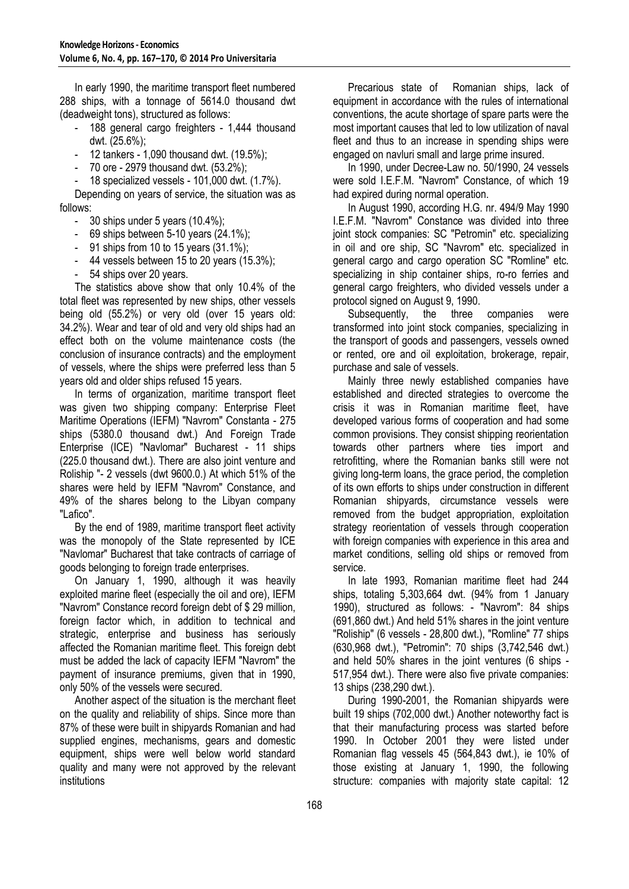In early 1990, the maritime transport fleet numbered 288 ships, with a tonnage of 5614.0 thousand dwt (deadweight tons), structured as follows:

- 188 general cargo freighters 1,444 thousand dwt. (25.6%);
- 12 tankers 1,090 thousand dwt. (19.5%);
- 70 ore 2979 thousand dwt. (53.2%);

- 18 specialized vessels - 101,000 dwt. (1.7%).

Depending on years of service, the situation was as follows:

- 30 ships under 5 years (10.4%);
- 69 ships between 5-10 years (24.1%);
- 91 ships from 10 to 15 years (31.1%);
- 44 vessels between 15 to 20 years (15.3%);
- 54 ships over 20 years.

The statistics above show that only 10.4% of the total fleet was represented by new ships, other vessels being old (55.2%) or very old (over 15 years old: 34.2%). Wear and tear of old and very old ships had an effect both on the volume maintenance costs (the conclusion of insurance contracts) and the employment of vessels, where the ships were preferred less than 5 years old and older ships refused 15 years.

In terms of organization, maritime transport fleet was given two shipping company: Enterprise Fleet Maritime Operations (IEFM) "Navrom" Constanta - 275 ships (5380.0 thousand dwt.) And Foreign Trade Enterprise (ICE) "Navlomar" Bucharest - 11 ships (225.0 thousand dwt.). There are also joint venture and Roliship "- 2 vessels (dwt 9600.0.) At which 51% of the shares were held by IEFM "Navrom" Constance, and 49% of the shares belong to the Libyan company "Lafico".

By the end of 1989, maritime transport fleet activity was the monopoly of the State represented by ICE "Navlomar" Bucharest that take contracts of carriage of goods belonging to foreign trade enterprises.

On January 1, 1990, although it was heavily exploited marine fleet (especially the oil and ore), IEFM "Navrom" Constance record foreign debt of \$ 29 million, foreign factor which, in addition to technical and strategic, enterprise and business has seriously affected the Romanian maritime fleet. This foreign debt must be added the lack of capacity IEFM "Navrom" the payment of insurance premiums, given that in 1990, only 50% of the vessels were secured.

Another aspect of the situation is the merchant fleet on the quality and reliability of ships. Since more than 87% of these were built in shipyards Romanian and had supplied engines, mechanisms, gears and domestic equipment, ships were well below world standard quality and many were not approved by the relevant institutions

Precarious state of Romanian ships, lack of equipment in accordance with the rules of international conventions, the acute shortage of spare parts were the most important causes that led to low utilization of naval fleet and thus to an increase in spending ships were engaged on navluri small and large prime insured.

In 1990, under Decree-Law no. 50/1990, 24 vessels were sold I.E.F.M. "Navrom" Constance, of which 19 had expired during normal operation.

In August 1990, according H.G. nr. 494/9 May 1990 I.E.F.M. "Navrom" Constance was divided into three joint stock companies: SC "Petromin" etc. specializing in oil and ore ship, SC "Navrom" etc. specialized in general cargo and cargo operation SC "Romline" etc. specializing in ship container ships, ro-ro ferries and general cargo freighters, who divided vessels under a protocol signed on August 9, 1990.

Subsequently, the three companies were transformed into joint stock companies, specializing in the transport of goods and passengers, vessels owned or rented, ore and oil exploitation, brokerage, repair, purchase and sale of vessels.

Mainly three newly established companies have established and directed strategies to overcome the crisis it was in Romanian maritime fleet, have developed various forms of cooperation and had some common provisions. They consist shipping reorientation towards other partners where ties import and retrofitting, where the Romanian banks still were not giving long-term loans, the grace period, the completion of its own efforts to ships under construction in different Romanian shipyards, circumstance vessels were removed from the budget appropriation, exploitation strategy reorientation of vessels through cooperation with foreign companies with experience in this area and market conditions, selling old ships or removed from service.

In late 1993, Romanian maritime fleet had 244 ships, totaling 5,303,664 dwt. (94% from 1 January 1990), structured as follows: - "Navrom": 84 ships (691,860 dwt.) And held 51% shares in the joint venture "Roliship" (6 vessels - 28,800 dwt.), "Romline" 77 ships (630,968 dwt.), "Petromin": 70 ships (3,742,546 dwt.) and held 50% shares in the joint ventures (6 ships - 517,954 dwt.). There were also five private companies: 13 ships (238,290 dwt.).

During 1990-2001, the Romanian shipyards were built 19 ships (702,000 dwt.) Another noteworthy fact is that their manufacturing process was started before 1990. In October 2001 they were listed under Romanian flag vessels 45 (564,843 dwt.), ie 10% of those existing at January 1, 1990, the following structure: companies with majority state capital: 12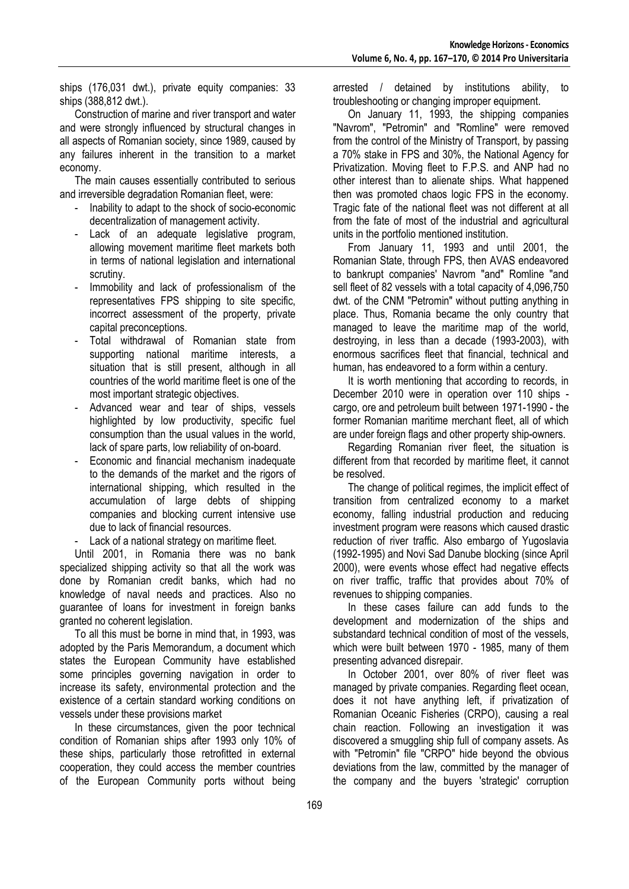ships (176,031 dwt.), private equity companies: 33 ships (388,812 dwt.).

Construction of marine and river transport and water and were strongly influenced by structural changes in all aspects of Romanian society, since 1989, caused by any failures inherent in the transition to a market economy.

The main causes essentially contributed to serious and irreversible degradation Romanian fleet, were:

- Inability to adapt to the shock of socio-economic decentralization of management activity.
- Lack of an adequate legislative program, allowing movement maritime fleet markets both in terms of national legislation and international scrutiny.
- Immobility and lack of professionalism of the representatives FPS shipping to site specific, incorrect assessment of the property, private capital preconceptions.
- Total withdrawal of Romanian state from supporting national maritime interests, a situation that is still present, although in all countries of the world maritime fleet is one of the most important strategic objectives.
- Advanced wear and tear of ships, vessels highlighted by low productivity, specific fuel consumption than the usual values in the world, lack of spare parts, low reliability of on-board.
- Economic and financial mechanism inadequate to the demands of the market and the rigors of international shipping, which resulted in the accumulation of large debts of shipping companies and blocking current intensive use due to lack of financial resources.
- Lack of a national strategy on maritime fleet.

Until 2001, in Romania there was no bank specialized shipping activity so that all the work was done by Romanian credit banks, which had no knowledge of naval needs and practices. Also no guarantee of loans for investment in foreign banks granted no coherent legislation.

To all this must be borne in mind that, in 1993, was adopted by the Paris Memorandum, a document which states the European Community have established some principles governing navigation in order to increase its safety, environmental protection and the existence of a certain standard working conditions on vessels under these provisions market

In these circumstances, given the poor technical condition of Romanian ships after 1993 only 10% of these ships, particularly those retrofitted in external cooperation, they could access the member countries of the European Community ports without being arrested / detained by institutions ability, to troubleshooting or changing improper equipment.

On January 11, 1993, the shipping companies "Navrom", "Petromin" and "Romline" were removed from the control of the Ministry of Transport, by passing a 70% stake in FPS and 30%, the National Agency for Privatization. Moving fleet to F.P.S. and ANP had no other interest than to alienate ships. What happened then was promoted chaos logic FPS in the economy. Tragic fate of the national fleet was not different at all from the fate of most of the industrial and agricultural units in the portfolio mentioned institution.

From January 11, 1993 and until 2001, the Romanian State, through FPS, then AVAS endeavored to bankrupt companies' Navrom "and" Romline "and sell fleet of 82 vessels with a total capacity of 4,096,750 dwt. of the CNM "Petromin" without putting anything in place. Thus, Romania became the only country that managed to leave the maritime map of the world, destroying, in less than a decade (1993-2003), with enormous sacrifices fleet that financial, technical and human, has endeavored to a form within a century.

It is worth mentioning that according to records, in December 2010 were in operation over 110 ships cargo, ore and petroleum built between 1971-1990 - the former Romanian maritime merchant fleet, all of which are under foreign flags and other property ship-owners.

Regarding Romanian river fleet, the situation is different from that recorded by maritime fleet, it cannot be resolved.

The change of political regimes, the implicit effect of transition from centralized economy to a market economy, falling industrial production and reducing investment program were reasons which caused drastic reduction of river traffic. Also embargo of Yugoslavia (1992-1995) and Novi Sad Danube blocking (since April 2000), were events whose effect had negative effects on river traffic, traffic that provides about 70% of revenues to shipping companies.

In these cases failure can add funds to the development and modernization of the ships and substandard technical condition of most of the vessels, which were built between 1970 - 1985, many of them presenting advanced disrepair.

In October 2001, over 80% of river fleet was managed by private companies. Regarding fleet ocean, does it not have anything left, if privatization of Romanian Oceanic Fisheries (CRPO), causing a real chain reaction. Following an investigation it was discovered a smuggling ship full of company assets. As with "Petromin" file "CRPO" hide beyond the obvious deviations from the law, committed by the manager of the company and the buyers 'strategic' corruption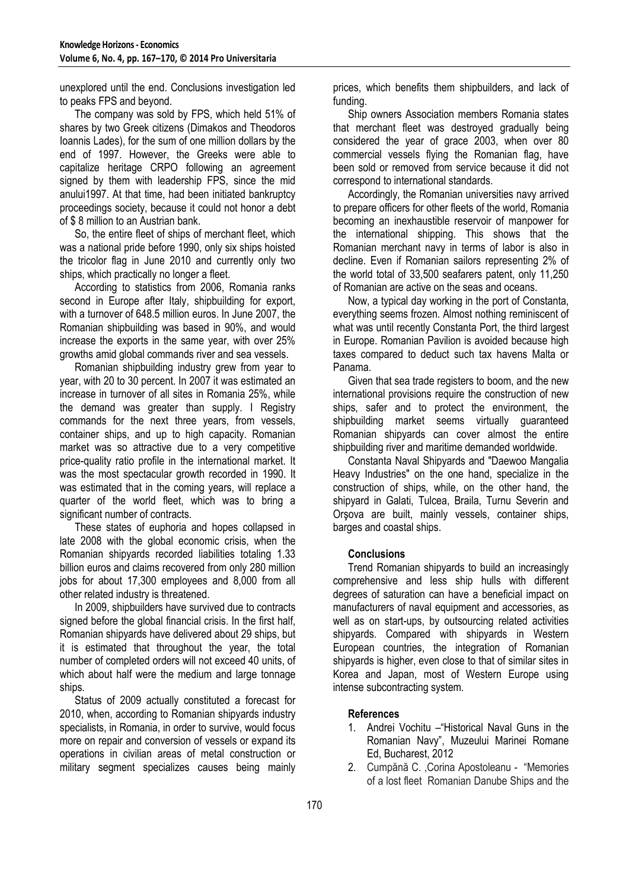unexplored until the end. Conclusions investigation led to peaks FPS and beyond.

The company was sold by FPS, which held 51% of shares by two Greek citizens (Dimakos and Theodoros Ioannis Lades), for the sum of one million dollars by the end of 1997. However, the Greeks were able to capitalize heritage CRPO following an agreement signed by them with leadership FPS, since the mid anului1997. At that time, had been initiated bankruptcy proceedings society, because it could not honor a debt of \$ 8 million to an Austrian bank.

So, the entire fleet of ships of merchant fleet, which was a national pride before 1990, only six ships hoisted the tricolor flag in June 2010 and currently only two ships, which practically no longer a fleet.

According to statistics from 2006, Romania ranks second in Europe after Italy, shipbuilding for export, with a turnover of 648.5 million euros. In June 2007, the Romanian shipbuilding was based in 90%, and would increase the exports in the same year, with over 25% growths amid global commands river and sea vessels.

Romanian shipbuilding industry grew from year to year, with 20 to 30 percent. In 2007 it was estimated an increase in turnover of all sites in Romania 25%, while the demand was greater than supply. I Registry commands for the next three years, from vessels, container ships, and up to high capacity. Romanian market was so attractive due to a very competitive price-quality ratio profile in the international market. It was the most spectacular growth recorded in 1990. It was estimated that in the coming years, will replace a quarter of the world fleet, which was to bring a significant number of contracts.

These states of euphoria and hopes collapsed in late 2008 with the global economic crisis, when the Romanian shipyards recorded liabilities totaling 1.33 billion euros and claims recovered from only 280 million jobs for about 17,300 employees and 8,000 from all other related industry is threatened.

In 2009, shipbuilders have survived due to contracts signed before the global financial crisis. In the first half, Romanian shipyards have delivered about 29 ships, but it is estimated that throughout the year, the total number of completed orders will not exceed 40 units, of which about half were the medium and large tonnage ships.

Status of 2009 actually constituted a forecast for 2010, when, according to Romanian shipyards industry specialists, in Romania, in order to survive, would focus more on repair and conversion of vessels or expand its operations in civilian areas of metal construction or military segment specializes causes being mainly

prices, which benefits them shipbuilders, and lack of funding.

Ship owners Association members Romania states that merchant fleet was destroyed gradually being considered the year of grace 2003, when over 80 commercial vessels flying the Romanian flag, have been sold or removed from service because it did not correspond to international standards.

Accordingly, the Romanian universities navy arrived to prepare officers for other fleets of the world, Romania becoming an inexhaustible reservoir of manpower for the international shipping. This shows that the Romanian merchant navy in terms of labor is also in decline. Even if Romanian sailors representing 2% of the world total of 33,500 seafarers patent, only 11,250 of Romanian are active on the seas and oceans.

Now, a typical day working in the port of Constanta, everything seems frozen. Almost nothing reminiscent of what was until recently Constanta Port, the third largest in Europe. Romanian Pavilion is avoided because high taxes compared to deduct such tax havens Malta or Panama.

Given that sea trade registers to boom, and the new international provisions require the construction of new ships, safer and to protect the environment, the shipbuilding market seems virtually guaranteed Romanian shipyards can cover almost the entire shipbuilding river and maritime demanded worldwide.

Constanta Naval Shipyards and "Daewoo Mangalia Heavy Industries" on the one hand, specialize in the construction of ships, while, on the other hand, the shipyard in Galati, Tulcea, Braila, Turnu Severin and Orşova are built, mainly vessels, container ships, barges and coastal ships.

## **Conclusions**

Trend Romanian shipyards to build an increasingly comprehensive and less ship hulls with different degrees of saturation can have a beneficial impact on manufacturers of naval equipment and accessories, as well as on start-ups, by outsourcing related activities shipyards. Compared with shipyards in Western European countries, the integration of Romanian shipyards is higher, even close to that of similar sites in Korea and Japan, most of Western Europe using intense subcontracting system.

### **References**

- 1. Andrei Vochitu –"Historical Naval Guns in the Romanian Navy", Muzeului Marinei Romane Ed, Bucharest, 2012
- 2. Cumpănă C. ,Corina Apostoleanu "Memories of a lost fleet Romanian Danube Ships and the